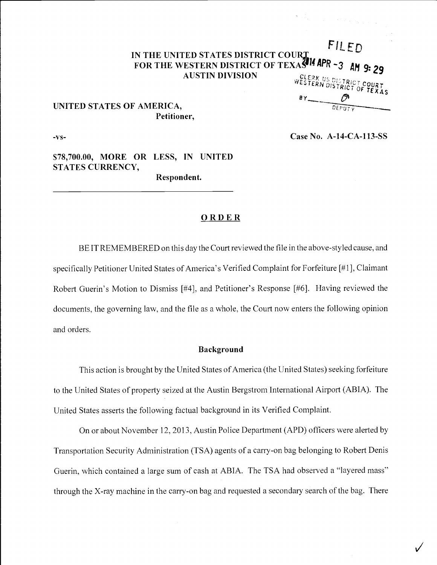# FILED IN THE UNITED STATES DISTRICT COURT. FOR THE WESTERN DISTRICT OF TEXAS<sup>414</sup> APR ~3 am 9: 29 AUSTIN DIVISION  $\mathbb{R}^{\mathcal{G}\setminus\mathcal{E}\setminus\mathcal{R}}$  and  $\mathbb{R}^{\mathcal{G}\setminus\mathcal{E}\setminus\mathcal{R}}$ AS IN AFR - 3 AM 9: 29

# UNITED STATES OF AMERICA, Petitioner,

-vs- Case No. A-14-CA-113-SS

 $\sqrt{1-\frac{1}{2}}$ 

\$78,700.00, MORE OR LESS, IN UNITED STATES CURRENCY, Respondent.

## **ORDER**

BE IT REMEMBERED on this day the Court reviewed the file in the above-styled cause, and specifically Petitioner United States of America's Verified Complaint for Forfeiture [#1], Claimant Robert Guerin's Motion to Dismiss [#4], and Petitioner's Response [#6]. Having reviewed the documents, the governing law, and the file as a whole, the Court now enters the following opinion and orders.

### Background

This action is brought by the United States of America (the United States) seeking forfeiture to the United States of property seized at the Austin Bergstrom International Airport (ABIA). The United States asserts the following factual background in its Verified Complaint.

On or about November 12, 2013, Austin Police Department (APD) officers were alerted by Transportation Security Administration (TSA) agents of a carry-on bag belonging to Robert Denis Guerin, which contained a large sum of cash at ABIA. The TSA had observed a "layered mass" through the X-ray machine in the carry-on bag and requested a secondary search of the bag. There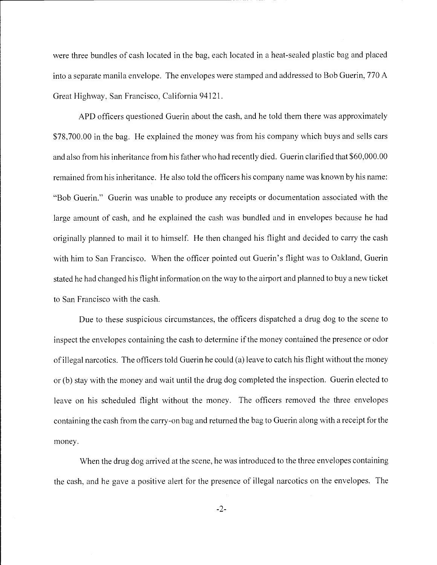were three bundles of cash located in the bag, each located in a heat-sealed plastic bag and placed into a separate manila envelope. The envelopes were stamped and addressed to Bob Guerin, 770 A Great Highway, San Francisco, California 94121.

APD officers questioned Guerin about the cash, and he told them there was approximately \$78,700.00 in the bag. He explained the money was from his company which buys and sells cars and also from his inheritance from his father who had recently died. Guerin clarified that \$60,000.00 remained from his inheritance. He also told the officers his company name was known by his name: "Bob Guerin." Guerin was unable to produce any receipts or documentation associated with the large amount of cash, and he explained the cash was bundled and in envelopes because he had originally planned to mail it to himself. He then changed his flight and decided to carry the cash with him to San Francisco. When the officer pointed out Guerin's flight was to Oakland, Guerin stated he had changed his flight information on the way to the airport and planned to buy a new ticket to San Francisco with the cash.

Due to these suspicious circumstances, the officers dispatched a drug dog to the scene to inspect the envelopes containing the cash to determine if the money contained the presence or odor of illegal narcotics. The officers told Guerin he could (a) leave to catch his flight without the money or (b) stay with the money and wait until the drug dog completed the inspection. Guerin elected to leave on his scheduled flight without the money. The officers removed the three envelopes containing the cash from the carry-on bag and returned the bag to Guerin along with a receipt for the money.

When the drug dog arrived at the scene, he was introduced to the three envelopes containing the cash, and he gave a positive alert for the presence of illegal narcotics on the envelopes. The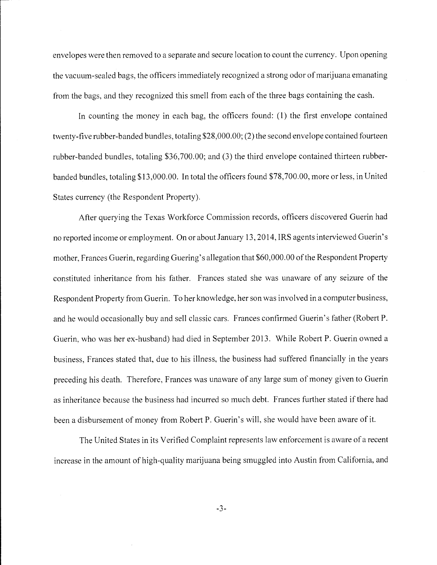envelopes were then removed to a separate and secure location to count the currency. Upon opening the vacuum-sealed bags, the officers immediately recognized a strong odor of marijuana emanating from the bags, and they recognized this smell from each of the three bags containing the cash.

In counting the money in each bag, the officers found: (1) the first envelope contained twenty-five rubber-banded bundles, totaling \$28,000.00; (2) the second envelope contained fourteen rubber-banded bundles, totaling \$36,700.00; and (3) the third envelope contained thirteen rubberbanded bundles, totaling \$13,000.00. In total the officers found \$78,700.00, more or less, in United States currency (the Respondent Property).

After querying the Texas Workforce Commission records, officers discovered Guerin had no reported income or employment. On or about January 13, 2014, IRS agents interviewed Guerin's mother, Frances Guerin, regarding Guering's allegation that \$60,000.00 of the Respondent Property constituted inheritance from his father. Frances stated she was unaware of any seizure of the Respondent Property from Guerin. To her knowledge, her son was involved in a computer business, and he would occasionally buy and sell classic cars. Frances confirmed Guerin's father (Robert P. Guerin, who was her ex-husband) had died in September 2013. While Robert P. Guerin owned a business, Frances stated that, due to his illness, the business had suffered financially in the years preceding his death. Therefore, Frances was unaware of any large sum of money given to Guerin as inheritance because the business had incurred so much debt. Frances further stated if there had been a disbursement of money from Robert P. Guerin's will, she would have been aware of it.

The United States in its Verified Complaint represents law enforcement is aware of a recent increase in the amount of high-quality marijuana being smuggled into Austin from California, and

-3-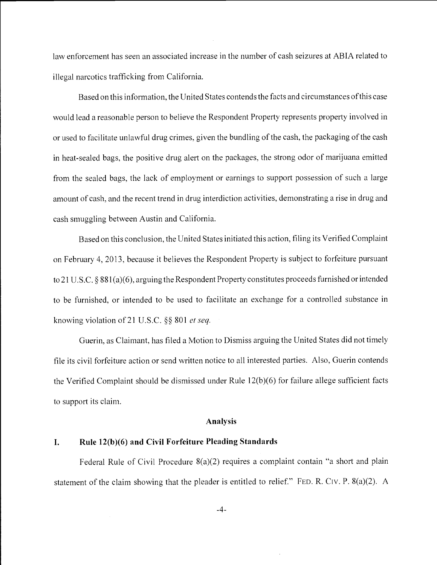law enforcement has seen an associated increase in the number of cash seizures at ABIA related to illegal narcotics trafficking from California.

Based on this information, the United States contends the facts and circumstances of this case would lead a reasonable person to believe the Respondent Property represents property involved in or used to facilitate unlawful drug crimes, given the bundling of the cash, the packaging of the cash in heat-sealed bags, the positive drug alert on the packages, the strong odor of marijuana emitted from the sealed bags, the lack of employment or earnings to support possession of such a large amount of cash, and the recent trend in drug interdiction activities, demonstrating a rise in drug and cash smuggling between Austin and California.

Based on this conclusion, the United States initiated this action, filing its Verified Complaint on February 4, 2013, because it believes the Respondent Property is subject to forfeiture pursuant to 21 U.S.C. § 881 (a)(6), arguing the Respondent Property constitutes proceeds furnished or intended to be furnished, or intended to be used to facilitate an exchange for a controlled substance in knowing violation of 21 U.S.C.  $\S$ § 801 *et seq.* 

Guerin, as Claimant, has filed a Motion to Dismiss arguing the United States did not timely file its civil forfeiture action or send written notice to all interested parties. Also, Guerin contends the Verified Complaint should be dismissed under Rule 12(b)(6) for failure allege sufficient facts to support its claim.

#### Analysis

#### I. Rule 12(b)(6) and Civil Forfeiture Pleading Standards

Federal Rule of Civil Procedure 8(a)(2) requires a complaint contain "a short and plain statement of the claim showing that the pleader is entitled to relief." FED. R. CIV. P.  $8(a)(2)$ . A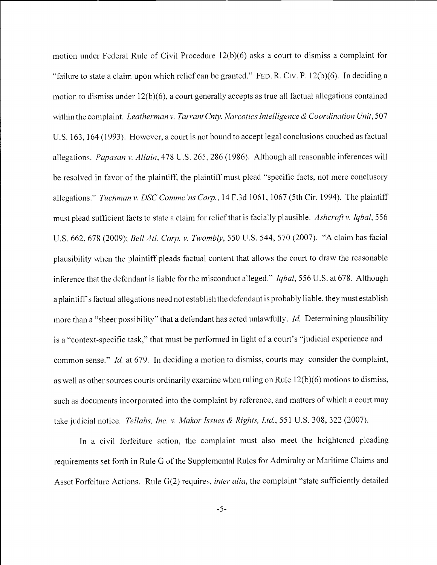motion under Federal Rule of Civil Procedure 12(b)(6) asks a court to dismiss a complaint for "failure to state a claim upon which relief can be granted." FED. R. Civ. P. 12(b)(6). In deciding a motion to dismiss under 12(b)(6), a court generally accepts as true all factual allegations contained within the complaint. Leatherman v. Tarrant Cnty. Narcotics Intelligence & Coordination Unit, 507 U.s. 163, 164 (1993). However, a court is not bound to accept legal conclusions couched as factual allegations. Papasan v. Allain, 478 U.S. 265, 286 (1986). Although all reasonable inferences will be resolved in favor of the plaintiff, the plaintiff must plead "specific facts, not mere conclusory allegations." Tuchman v. DSC Comme 'ns Corp., 14 F.3d 1061, 1067 (5th Cir. 1994). The plaintiff must plead sufficient facts to state a claim for relief that is facially plausible. Ashcroft v. Iqbal, 556 U.S. 662, 678 (2009); Bell Atl. Corp. v. Twombly, 550 U.S. 544, 570 (2007). "A claim has facial plausibility when the plaintiff pleads factual content that allows the court to draw the reasonable inference that the defendant is liable for the misconduct alleged." *Iqbal*, 556 U.S. at 678. Although a plaintiff's factual allegations need not establish the defendant is probably liable, they must establish more than a "sheer possibility" that a defendant has acted unlawfully. *Id.* Determining plausibility is a "context-specific task," that must be performed in light of a court's "judicial experience and common sense." Id. at 679. In deciding a motion to dismiss, courts may consider the complaint, as well as other sources courts ordinarily examine when ruling on Rule 12(b)(6) motions to dismiss, such as documents incorporated into the complaint by reference, and matters of which a court may take judicial notice. Tellabs, Inc. v. Makor Issues & Rights, Ltd., 551 U.S. 308, 322 (2007).

In a civil forfeiture action, the complaint must also meet the heightened pleading requirements set forth in Rule G of the Supplemental Rules for Admiralty or Maritime Claims and Asset Forfeiture Actions. Rule G(2) requires, *inter alia*, the complaint "state sufficiently detailed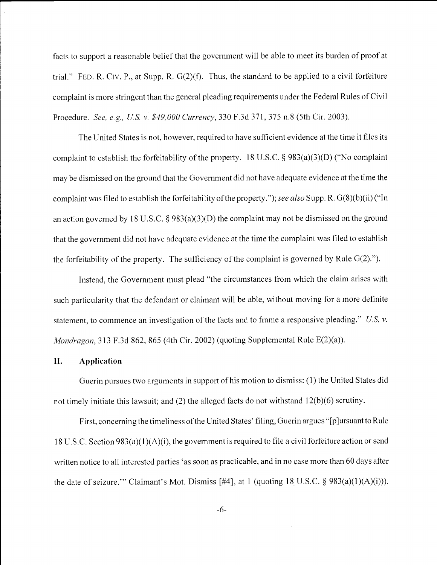facts to support a reasonable belief that the government will be able to meet its burden of proof at trial." FED. R. CIV. P., at Supp. R.  $G(2)(f)$ . Thus, the standard to be applied to a civil forfeiture complaint is more stringent than the general pleading requirements under the Federal Rules of Civil Procedure. See, e.g., U.S. v. \$49,000 Currency, 330 F.3d 371, 375 n.8 (5th Cir. 2003).

The United States is not, however, required to have sufficient evidence at the time it files its complaint to establish the forfeitability of the property. 18 U.S.C. § 983(a)(3)(D) ("No complaint may be dismissed on the ground that the Government did not have adequate evidence at the time the complaint was filed to establish the forfeitability of the property."); see also Supp. R.  $G(8)(b)(ii)$  ("In an action governed by 18 U.S.C. § 983(a)(3)(D) the complaint may not be dismissed on the ground that the government did not have adequate evidence at the time the complaint was filed to establish the forfeitability of the property. The sufficiency of the complaint is governed by Rule  $G(2)$ .").

Instead, the Government must plead "the circumstances from which the claim arises with such particularity that the defendant or claimant will be able, without moving for a more definite statement, to commence an investigation of the facts and to frame a responsive pleading." U.S. v. Mondragon, 313 F.3d 862, 865 (4th Cir. 2002) (quoting Supplemental Rule E(2)(a)).

### 1!. Application

Guerin pursues two arguments in support of his motion to dismiss: (1) the United States did not timely initiate this lawsuit; and (2) the alleged facts do not withstand 12(b)(6) scrutiny.

First, concerning the timeliness of the United States' filing, Guerin argues "[p]ursuant to Rule 18 U.S.C. Section 983 (a)( 1 )(A)(i), the government is required to file a civil forfeiture action or send written notice to all interested parties 'as soon as practicable, and in no case more than 60 days after the date of seizure." Claimant's Mot. Dismiss [#4], at 1 (quoting 18 U.S.C.  $\S$  983(a)(1)(A)(i))).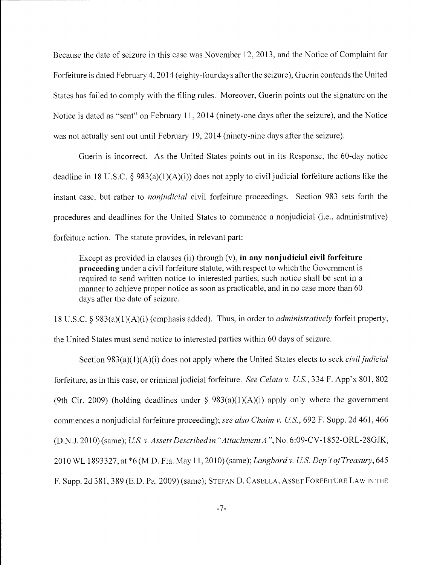Because the date of seizure in this case was November 12, 2013, and the Notice of Complaint for Forfeiture is dated February 4, 2014 (eighty-four days after the seizure), Guerin contends the United States has failed to comply with the filing rules. Moreover, Guerin points out the signature on the Notice is dated as "sent" on February 11, 2014 (ninety-one days after the seizure), and the Notice was not actually sent out until February 19, 2014 (ninety-nine days after the seizure).

Guerin is incorrect. As the United States points out in its Response, the 60-day notice deadline in 18 U.S.C. § 983(a)(1)(A)(i)) does not apply to civil judicial forfeiture actions like the instant case, but rather to nonjudicial civil forfeiture proceedings. Section 983 sets forth the procedures and deadlines for the United States to commence a nonjudicial (i.e., administrative) forfeiture action. The statute provides, in relevant part:

Except as provided in clauses (ii) through  $(v)$ , in any nonjudicial civil forfeiture proceeding under a civil forfeiture statute, with respect to which the Government is required to send written notice to interested parties, such notice shall be sent in a manner to achieve proper notice as soon as practicable, and in no case more than 60 days after the date of seizure.

<sup>18</sup>U.S.C. § 983(a)(1)(A)(i) (emphasis added). Thus, in order to administratively forfeit property, the United States must send notice to interested parties within 60 days of seizure.

Section  $983(a)(1)(A)(i)$  does not apply where the United States elects to seek *civil judicial* forfeiture, as in this case, or criminal judicial forfeiture. See Celata v. U.S., 334 F. App'x 801, 802 (9th Cir. 2009) (holding deadlines under  $\S$  983(a)(1)(A)(i) apply only where the government commences a nonjudicial forfeiture proceeding); see also Chaim v. U.S., 692 F. Supp. 2d 461, 466 (D.N.J. 2010) (same); U.S. v. Assets Described in "Attachment A", No. 6:09-CV-1852-ORL-28GJK, 2010 WL 1893327, at \*6 (M.D. Fla. May 11, 2010) (same); Langbord v. U.S. Dep't of Treasury, 645 F. Supp. 2d 381, 389 (E.D. Pa. 2009) (same); STEFAN D. CASELLA, ASSET FORFEITURE LAW IN THE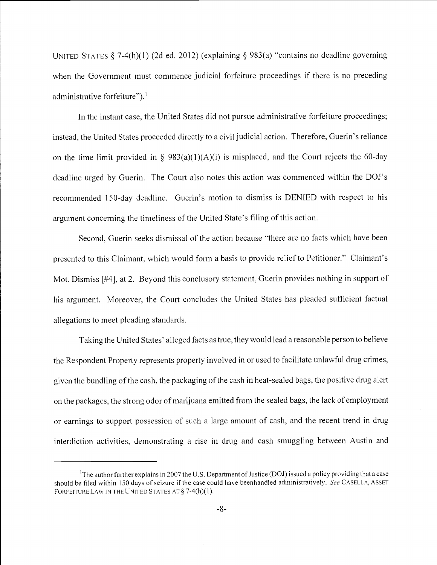UNITED STATES  $\S$  7-4(h)(1) (2d ed. 2012) (explaining  $\S$  983(a) "contains no deadline governing when the Government must commence judicial forfeiture proceedings if there is no preceding administrative forfeiture"). $<sup>1</sup>$ </sup>

In the instant case, the United States did not pursue administrative forfeiture proceedings; instead, the United States proceeded directly to a civil judicial action. Therefore, Guerin's reliance on the time limit provided in § 983(a)(1)(A)(i) is misplaced, and the Court rejects the 60-day deadline urged by Guerin. The Court also notes this action was commenced within the DOJ's recommended 150-day deadline. Guerin's motion to dismiss is DENIED with respect to his argument concerning the timeliness of the United State's filing of this action.

Second, Guerin seeks dismissal of the action because "there are no facts which have been presented to this Claimant, which would form a basis to provide relief to Petitioner." Claimant's Mot. Dismiss [#4], at 2. Beyond this conclusory statement, Guerin provides nothing in support of his argument. Moreover, the Court concludes the United States has pleaded sufficient factual allegations to meet pleading standards.

Taking the United States' alleged facts as true, they would lead a reasonable person to believe the Respondent Property represents property involved in or used to facilitate unlawful drug crimes, given the bundling of the cash, the packaging of the cash in heat-sealed bags, the positive drug alert on the packages, the strong odor of marijuana emitted from the sealed bags, the lack of employment or earnings to support possession of such a large amount of cash, and the recent trend in drug interdiction activities, demonstrating a rise in drug and cash smuggling between Austin and

<sup>&</sup>lt;sup>1</sup>The author further explains in 2007 the U.S. Department of Justice (DOJ) issued a policy providing that a case<br>should be filed within 150 days of seizure if the case could have beenhandled administratively. See CASELLA, FORFEITURE LAW IN THE UNITED STATES AT § 7-4(h)(1).